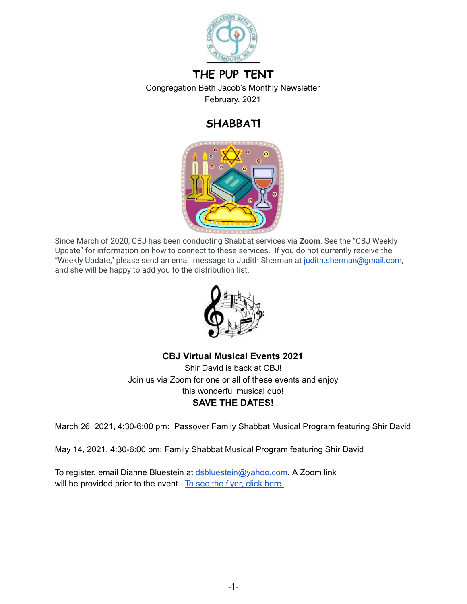

## **THE PUP TENT**

Congregation Beth Jacob's Monthly Newsletter February, 2021

# **SHABBAT!**



Since March of 2020, CBJ has been conducting Shabbat services via **Zoom** . See the "CBJ Weekly Update" for information on how to connect to these services. If you do not currently receive the "Weekly Update," please send an email message to Judith Sherman at judith.sherman@gmail.com, and she will be happy to add you to the distribution list.



## **CBJ Virtual Musical Events 2021**

Shir David is back at CBJ! Join us via Zoom for one or all of these events and enjoy this wonderful musical duo! **SAVE THE DATES!** 

March 26, 2021, 4:30-6:00 pm: Passover Family Shabbat Musical Program featuring Shir David

May 14, 2021, 4:30-6:00 pm: Family Shabbat Musical Program featuring Shir David

To register, email Dianne Bluestein at [dsbluestein@yahoo.com](mailto:dsbluestein@yahoo.com). A Zoom link will be provided prior to the event. To see the flyer, click [here.](https://drive.google.com/file/d/1Td6o4Oq2omVJSilJ6Q7x4iLe_vK2MrXz/view?usp=sharing)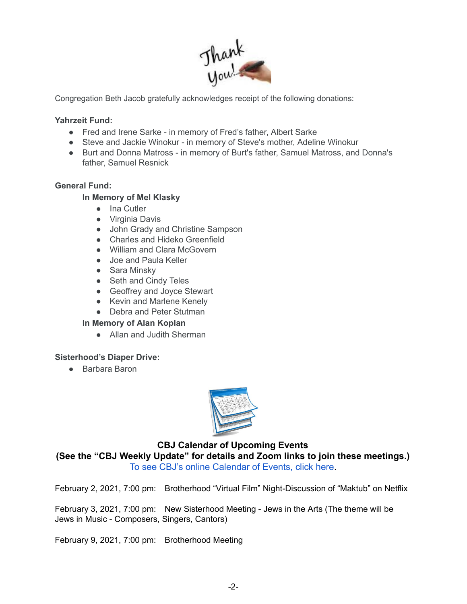

Congregation Beth Jacob gratefully acknowledges receipt of the following donations:

#### **Yahrzeit Fund:**

- Fred and Irene Sarke in memory of Fred's father, Albert Sarke
- Steve and Jackie Winokur in memory of Steve's mother, Adeline Winokur
- Burt and Donna Matross in memory of Burt's father, Samuel Matross, and Donna's father, Samuel Resnick

#### **General Fund:**

#### **In Memory of Mel Klasky**

- Ina Cutler
- Virginia Davis
- John Grady and Christine Sampson
- Charles and Hideko Greenfield
- William and Clara McGovern
- Joe and Paula Keller
- Sara Minskv
- Seth and Cindy Teles
- Geoffrey and Joyce Stewart
- Kevin and Marlene Kenely
- Debra and Peter Stutman

#### **In Memory of Alan Koplan**

● Allan and Judith Sherman

#### **Sisterhood's Diaper Drive:**

● Barbara Baron



#### **CBJ Calendar of Upcoming Events**

**(See the "CBJ Weekly Update" for details and Zoom links to join these meetings.)**  [To see CBJ's online Calendar of Events, click here](http://cbjplymouth.org/).

February 2, 2021, 7:00 pm: Brotherhood "Virtual Film" Night-Discussion of "Maktub" on Netflix

February 3, 2021, 7:00 pm: New Sisterhood Meeting - Jews in the Arts (The theme will be Jews in Music - Composers, Singers, Cantors)

February 9, 2021, 7:00 pm: Brotherhood Meeting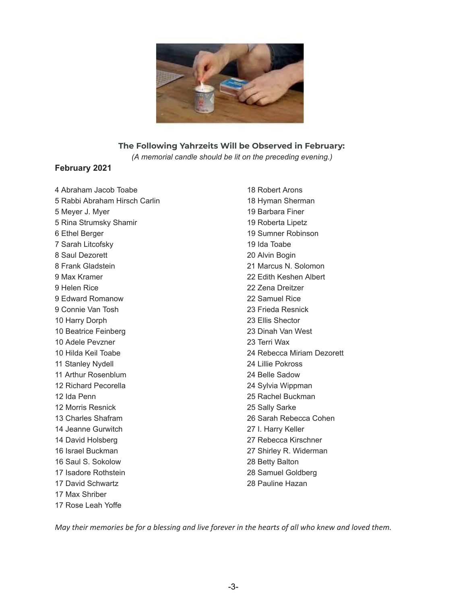

#### **The Following Yahrzeits Will be Observed in February:**

*(A memorial candle should be lit on the preceding evening.)*

#### **February 2021**

 Abraham Jacob Toabe Rabbi Abraham Hirsch Carlin Meyer J. Myer Rina Strumsky Shamir Ethel Berger Sarah Litcofsky Saul Dezorett Frank Gladstein Max Kramer Helen Rice Edward Romanow Connie Van Tosh Harry Dorph Beatrice Feinberg Adele Pevzner Hilda Keil Toabe Stanley Nydell Arthur Rosenblum Richard Pecorella Ida Penn Morris Resnick Charles Shafram Jeanne Gurwitch David Holsberg Israel Buckman Saul S. Sokolow Isadore Rothstein David Schwartz Max Shriber Rose Leah Yoffe

 Robert Arons Hyman Sherman Barbara Finer Roberta Lipetz Sumner Robinson Ida Toabe Alvin Bogin Marcus N. Solomon Edith Keshen Albert Zena Dreitzer Samuel Rice Frieda Resnick Ellis Shector Dinah Van West Terri Wax Rebecca Miriam Dezorett Lillie Pokross Belle Sadow Sylvia Wippman Rachel Buckman Sally Sarke Sarah Rebecca Cohen I. Harry Keller Rebecca Kirschner Shirley R. Widerman Betty Balton Samuel Goldberg Pauline Hazan

May their memories be for a blessing and live forever in the hearts of all who knew and loved them.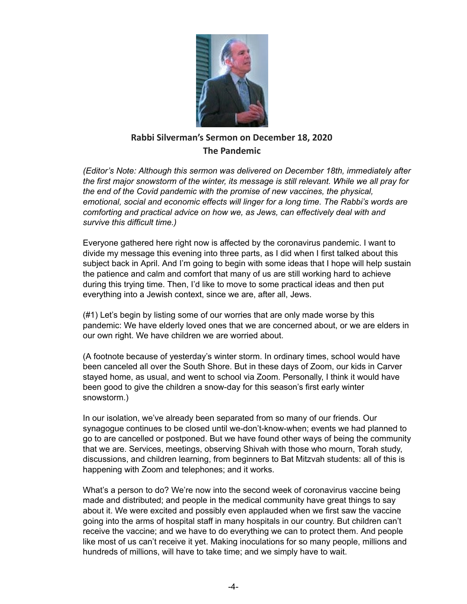

## **Rabbi Silverman's Sermon on December 18, 2020 The Pandemic**

*(Editor's Note: Although this sermon was delivered on December 18th, immediately after the first major snowstorm of the winter, its message is still relevant. While we all pray for the end of the Covid pandemic with the promise of new vaccines, the physical, emotional, social and economic effects will linger for a long time. The Rabbi's words are comforting and practical advice on how we, as Jews, can effectively deal with and survive this difficult time.)*

Everyone gathered here right now is affected by the coronavirus pandemic. I want to divide my message this evening into three parts, as I did when I first talked about this subject back in April. And I'm going to begin with some ideas that I hope will help sustain the patience and calm and comfort that many of us are still working hard to achieve during this trying time. Then, I'd like to move to some practical ideas and then put everything into a Jewish context, since we are, after all, Jews.

(#1) Let's begin by listing some of our worries that are only made worse by this pandemic: We have elderly loved ones that we are concerned about, or we are elders in our own right. We have children we are worried about.

(A footnote because of yesterday's winter storm. In ordinary times, school would have been canceled all over the South Shore. But in these days of Zoom, our kids in Carver stayed home, as usual, and went to school via Zoom. Personally, I think it would have been good to give the children a snow-day for this season's first early winter snowstorm.)

In our isolation, we've already been separated from so many of our friends. Our synagogue continues to be closed until we-don't-know-when; events we had planned to go to are cancelled or postponed. But we have found other ways of being the community that we are. Services, meetings, observing Shivah with those who mourn, Torah study, discussions, and children learning, from beginners to Bat Mitzvah students: all of this is happening with Zoom and telephones; and it works.

What's a person to do? We're now into the second week of coronavirus vaccine being made and distributed; and people in the medical community have great things to say about it. We were excited and possibly even applauded when we first saw the vaccine going into the arms of hospital staff in many hospitals in our country. But children can't receive the vaccine; and we have to do everything we can to protect them. And people like most of us can't receive it yet. Making inoculations for so many people, millions and hundreds of millions, will have to take time; and we simply have to wait.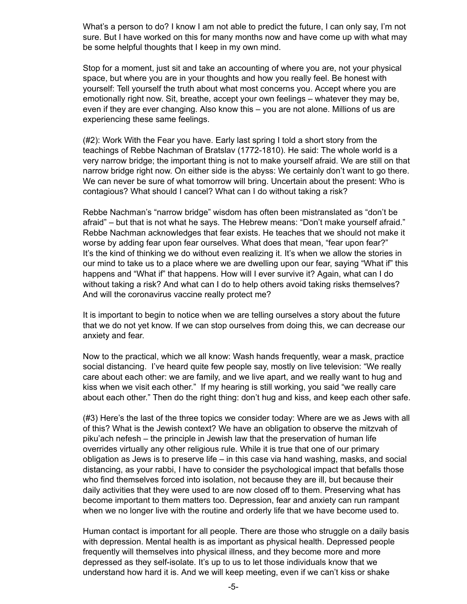What's a person to do? I know I am not able to predict the future, I can only say, I'm not sure. But I have worked on this for many months now and have come up with what may be some helpful thoughts that I keep in my own mind.

Stop for a moment, just sit and take an accounting of where you are, not your physical space, but where you are in your thoughts and how you really feel. Be honest with yourself: Tell yourself the truth about what most concerns you. Accept where you are emotionally right now. Sit, breathe, accept your own feelings – whatever they may be, even if they are ever changing. Also know this – you are not alone. Millions of us are experiencing these same feelings.

(#2): Work With the Fear you have. Early last spring I told a short story from the teachings of Rebbe Nachman of Bratslav (1772-1810). He said: The whole world is a very narrow bridge; the important thing is not to make yourself afraid. We are still on that narrow bridge right now. On either side is the abyss: We certainly don't want to go there. We can never be sure of what tomorrow will bring. Uncertain about the present: Who is contagious? What should I cancel? What can I do without taking a risk?

Rebbe Nachman's "narrow bridge" wisdom has often been mistranslated as "don't be afraid" – but that is not what he says. The Hebrew means: "Don't make yourself afraid." Rebbe Nachman acknowledges that fear exists. He teaches that we should not make it worse by adding fear upon fear ourselves. What does that mean, "fear upon fear?" It's the kind of thinking we do without even realizing it. It's when we allow the stories in our mind to take us to a place where we are dwelling upon our fear, saying "What if" this happens and "What if" that happens. How will I ever survive it? Again, what can I do without taking a risk? And what can I do to help others avoid taking risks themselves? And will the coronavirus vaccine really protect me?

It is important to begin to notice when we are telling ourselves a story about the future that we do not yet know. If we can stop ourselves from doing this, we can decrease our anxiety and fear.

Now to the practical, which we all know: Wash hands frequently, wear a mask, practice social distancing. I've heard quite few people say, mostly on live television: "We really care about each other: we are family, and we live apart, and we really want to hug and kiss when we visit each other." If my hearing is still working, you said "we really care about each other." Then do the right thing: don't hug and kiss, and keep each other safe.

(#3) Here's the last of the three topics we consider today: Where are we as Jews with all of this? What is the Jewish context? We have an obligation to observe the mitzvah of piku'ach nefesh – the principle in Jewish law that the preservation of human life overrides virtually any other religious rule. While it is true that one of our primary obligation as Jews is to preserve life – in this case via hand washing, masks, and social distancing, as your rabbi, I have to consider the psychological impact that befalls those who find themselves forced into isolation, not because they are ill, but because their daily activities that they were used to are now closed off to them. Preserving what has become important to them matters too. Depression, fear and anxiety can run rampant when we no longer live with the routine and orderly life that we have become used to.

Human contact is important for all people. There are those who struggle on a daily basis with depression. Mental health is as important as physical health. Depressed people frequently will themselves into physical illness, and they become more and more depressed as they self-isolate. It's up to us to let those individuals know that we understand how hard it is. And we will keep meeting, even if we can't kiss or shake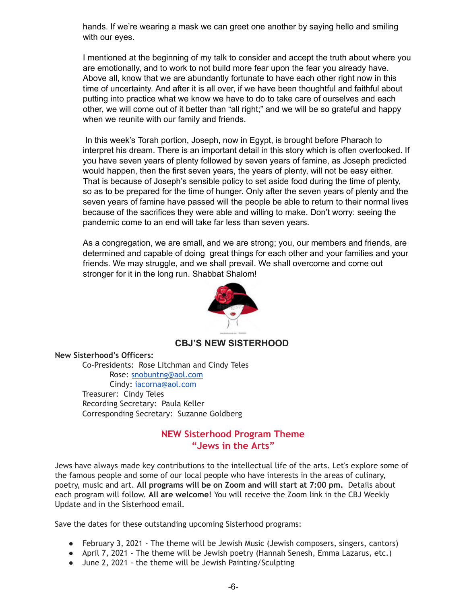hands. If we're wearing a mask we can greet one another by saying hello and smiling with our eyes.

I mentioned at the beginning of my talk to consider and accept the truth about where you are emotionally, and to work to not build more fear upon the fear you already have. Above all, know that we are abundantly fortunate to have each other right now in this time of uncertainty. And after it is all over, if we have been thoughtful and faithful about putting into practice what we know we have to do to take care of ourselves and each other, we will come out of it better than "all right;" and we will be so grateful and happy when we reunite with our family and friends.

In this week's Torah portion, Joseph, now in Egypt, is brought before Pharaoh to interpret his dream. There is an important detail in this story which is often overlooked. If you have seven years of plenty followed by seven years of famine, as Joseph predicted would happen, then the first seven years, the years of plenty, will not be easy either. That is because of Joseph's sensible policy to set aside food during the time of plenty, so as to be prepared for the time of hunger. Only after the seven years of plenty and the seven years of famine have passed will the people be able to return to their normal lives because of the sacrifices they were able and willing to make. Don't worry: seeing the pandemic come to an end will take far less than seven years.

As a congregation, we are small, and we are strong; you, our members and friends, are determined and capable of doing great things for each other and your families and your friends. We may struggle, and we shall prevail. We shall overcome and come out stronger for it in the long run. Shabbat Shalom!



#### **CBJ'S NEW SISTERHOOD**

**New Sisterhood's Officers:** 

Co-Presidents: Rose Litchman and Cindy Teles Rose: [snobuntng@aol.com](mailto:snobuntng@aol.com) Cindy: [iacorna@aol.com](mailto:iacorna@aol.com) Treasurer: Cindy Teles Recording Secretary: Paula Keller Corresponding Secretary: Suzanne Goldberg

#### **NEW Sisterhood Program Theme "Jews in the Arts"**

Jews have always made key contributions to the intellectual life of the arts. Let's explore some of the famous people and some of our local people who have interests in the areas of culinary, poetry, music and art. **All programs will be on Zoom and will start at 7:00 pm.** Details about each program will follow. **All are welcome!** You will receive the Zoom link in the CBJ Weekly Update and in the Sisterhood email.

Save the dates for these outstanding upcoming Sisterhood programs:

- February 3, 2021 The theme will be Jewish Music (Jewish composers, singers, cantors)
- April 7, 2021 The theme will be Jewish poetry (Hannah Senesh, Emma Lazarus, etc.)
- June 2, 2021 the theme will be Jewish Painting/Sculpting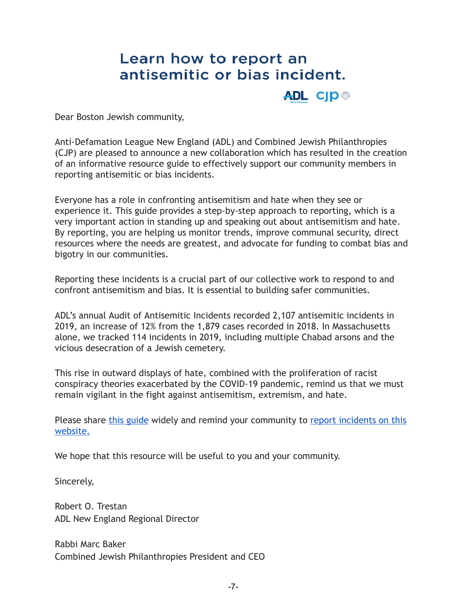# Learn how to report an antisemitic or bias incident.

**ADL. CJD®** 

Dear Boston Jewish community,

Anti-Defamation League New England (ADL) and Combined Jewish Philanthropies (CJP) are pleased to announce a new collaboration which has resulted in the creation of an informative resource guide to effectively support our community members in reporting antisemitic or bias incidents.

Everyone has a role in confronting antisemitism and hate when they see or experience it. This guide provides a step-by-step approach to reporting, which is a very important action in standing up and speaking out about antisemitism and hate. By reporting, you are helping us monitor trends, improve communal security, direct resources where the needs are greatest, and advocate for funding to combat bias and bigotry in our communities.

Reporting these incidents is a crucial part of our collective work to respond to and confront antisemitism and bias. It is essential to building safer communities.

ADL's annual Audit of Antisemitic Incidents recorded 2,107 antisemitic incidents in 2019, an increase of 12% from the 1,879 cases recorded in 2018. In Massachusetts alone, we tracked 114 incidents in 2019, including multiple Chabad arsons and the vicious desecration of a Jewish cemetery.

This rise in outward displays of hate, combined with the proliferation of racist conspiracy theories exacerbated by the COVID-19 pandemic, remind us that we must remain vigilant in the fight against antisemitism, extremism, and hate.

Please share [this guide](https://newengland.adl.org/files/2020/12/Incident-Report.pdf) widely and remind your community to report incidents on this [website.](https://www.adl.org/reportincident)

We hope that this resource will be useful to you and your community.

Sincerely,

Robert O. Trestan ADL New England Regional Director

Rabbi Marc Baker Combined Jewish Philanthropies President and CEO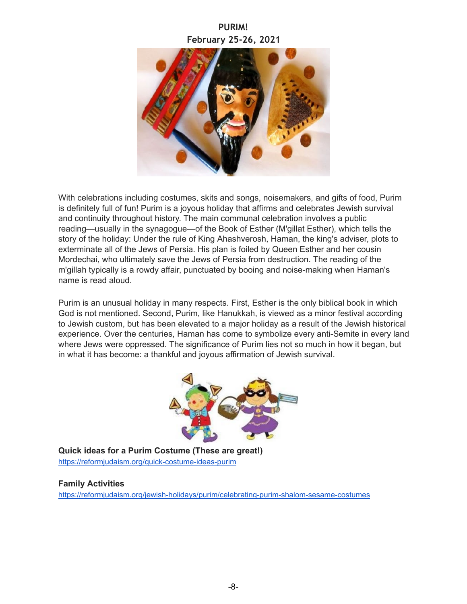## **PURIM! February 25-26, 2021**



With celebrations including costumes, skits and songs, noisemakers, and gifts of food, Purim is definitely full of fun! Purim is a joyous holiday that affirms and celebrates Jewish survival and continuity throughout history. The main communal celebration involves a public reading—usually in the synagogue—of the Book of Esther (M'gillat Esther), which tells the story of the holiday: Under the rule of King Ahashverosh, Haman, the king's adviser, plots to exterminate all of the Jews of Persia. His plan is foiled by Queen Esther and her cousin Mordechai, who ultimately save the Jews of Persia from destruction. The reading of the m'gillah typically is a rowdy affair, punctuated by booing and noise-making when Haman's name is read aloud.

Purim is an unusual holiday in many respects. First, Esther is the only biblical book in which God is not mentioned. Second, Purim, like Hanukkah, is viewed as a minor festival according to Jewish custom, but has been elevated to a major holiday as a result of the Jewish historical experience. Over the centuries, Haman has come to symbolize every anti-Semite in every land where Jews were oppressed. The significance of Purim lies not so much in how it began, but in what it has become: a thankful and joyous affirmation of Jewish survival.



**Quick ideas for a Purim Costume (These are great!)** <https://reformjudaism.org/quick-costume-ideas-purim>

#### **Family Activities**

<https://reformjudaism.org/jewish-holidays/purim/celebrating-purim-shalom-sesame-costumes>